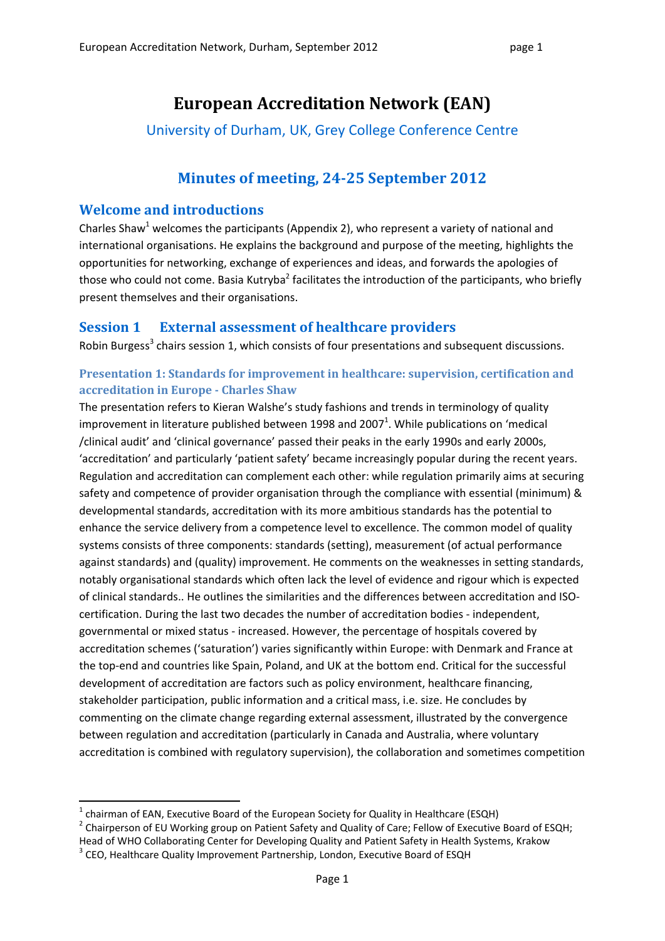# **European Accreditation Network (EAN)**

University of Durham, UK, Grey College Conference Centre

## **Minutes of meeting, 2425 September 2012**

## **Welcome and introductions**

Charles Shaw<sup>1</sup> welcomes the participants (Appendix 2), who represent a variety of national and international organisations. He explains the background and purpose of the meeting, highlights the opportunities for networking, exchange of experiences and ideas, and forwards the apologies of those who could not come. Basia Kutryba<sup>2</sup> facilitates the introduction of the participants, who briefly present themselves and their organisations.

## **Session 1 External assessment of healthcare providers**

Robin Burgess<sup>3</sup> chairs session 1, which consists of four presentations and subsequent discussions.

### **Presentation 1: Standards for improvement in healthcare: supervision, certification and accreditation in Europe Charles Shaw**

The presentation refers to Kieran Walshe's study fashions and trends in terminology of quality improvement in literature published between 1998 and 2007<sup>1</sup>. While publications on 'medical /clinical audit' and 'clinical governance' passed their peaks in the early 1990s and early 2000s, 'accreditation' and particularly 'patient safety' became increasingly popular during the recent years. Regulation and accreditation can complement each other: while regulation primarily aims at securing safety and competence of provider organisation through the compliance with essential (minimum) & developmental standards, accreditation with its more ambitious standards has the potential to enhance the service delivery from a competence level to excellence. The common model of quality systems consists of three components: standards (setting), measurement (of actual performance against standards) and (quality) improvement. He comments on the weaknesses in setting standards, notably organisational standards which often lack the level of evidence and rigour which is expected of clinical standards.. He outlines the similarities and the differences between accreditation and ISO‐ certification. During the last two decades the number of accreditation bodies ‐ independent, governmental or mixed status ‐ increased. However, the percentage of hospitals covered by accreditation schemes ('saturation') varies significantly within Europe: with Denmark and France at the top-end and countries like Spain, Poland, and UK at the bottom end. Critical for the successful development of accreditation are factors such as policy environment, healthcare financing, stakeholder participation, public information and a critical mass, i.e. size. He concludes by commenting on the climate change regarding external assessment, illustrated by the convergence between regulation and accreditation (particularly in Canada and Australia, where voluntary accreditation is combined with regulatory supervision), the collaboration and sometimes competition

<sup>&</sup>lt;sup>1</sup> chairman of EAN, Executive Board of the European Society for Quality in Healthcare (ESQH)<br><sup>2</sup> Chairperson of EU Working group on Patient Safety and Quality of Care; Fellow of Executive Board of ESQH; Head of WHO Collaborating Center for Developing Quality and Patient Safety in Health Systems, Krakow <sup>3</sup> CEO, Healthcare Quality Improvement Partnership, London, Executive Board of ESQH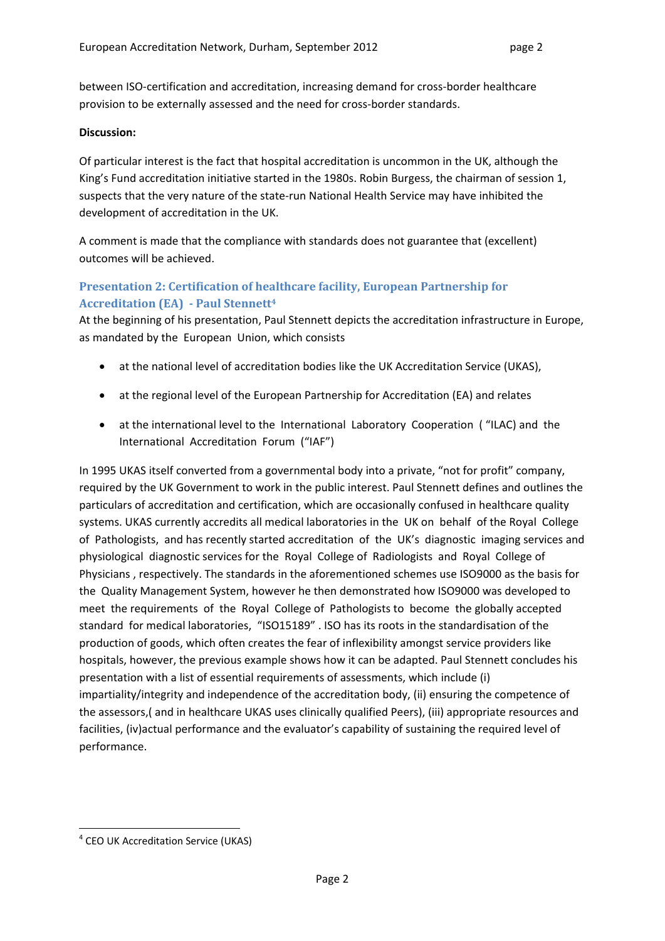between ISO‐certification and accreditation, increasing demand for cross‐border healthcare provision to be externally assessed and the need for cross-border standards.

#### **Discussion:**

Of particular interest is the fact that hospital accreditation is uncommon in the UK, although the King's Fund accreditation initiative started in the 1980s. Robin Burgess, the chairman of session 1, suspects that the very nature of the state‐run National Health Service may have inhibited the development of accreditation in the UK.

A comment is made that the compliance with standards does not guarantee that (excellent) outcomes will be achieved.

### **Presentation 2: Certification of healthcare facility, European Partnership for Accreditation (EA) Paul Stennett4**

At the beginning of his presentation, Paul Stennett depicts the accreditation infrastructure in Europe, as mandated by the European Union, which consists

- at the national level of accreditation bodies like the UK Accreditation Service (UKAS),
- at the regional level of the European Partnership for Accreditation (EA) and relates
- at the international level to the International Laboratory Cooperation ( "ILAC) and the International Accreditation Forum ("IAF")

In 1995 UKAS itself converted from a governmental body into a private, "not for profit" company, required by the UK Government to work in the public interest. Paul Stennett defines and outlines the particulars of accreditation and certification, which are occasionally confused in healthcare quality systems. UKAS currently accredits all medical laboratories in the UK on behalf of the Royal College of Pathologists, and has recently started accreditation of the UK's diagnostic imaging services and physiological diagnostic services for the Royal College of Radiologists and Royal College of Physicians , respectively. The standards in the aforementioned schemes use ISO9000 as the basis for the Quality Management System, however he then demonstrated how ISO9000 was developed to meet the requirements of the Royal College of Pathologists to become the globally accepted standard for medical laboratories, "ISO15189" . ISO has its roots in the standardisation of the production of goods, which often creates the fear of inflexibility amongst service providers like hospitals, however, the previous example shows how it can be adapted. Paul Stennett concludes his presentation with a list of essential requirements of assessments, which include (i) impartiality/integrity and independence of the accreditation body, (ii) ensuring the competence of the assessors,( and in healthcare UKAS uses clinically qualified Peers), (iii) appropriate resources and facilities, (iv)actual performance and the evaluator's capability of sustaining the required level of performance.

 <sup>4</sup> CEO UK Accreditation Service (UKAS)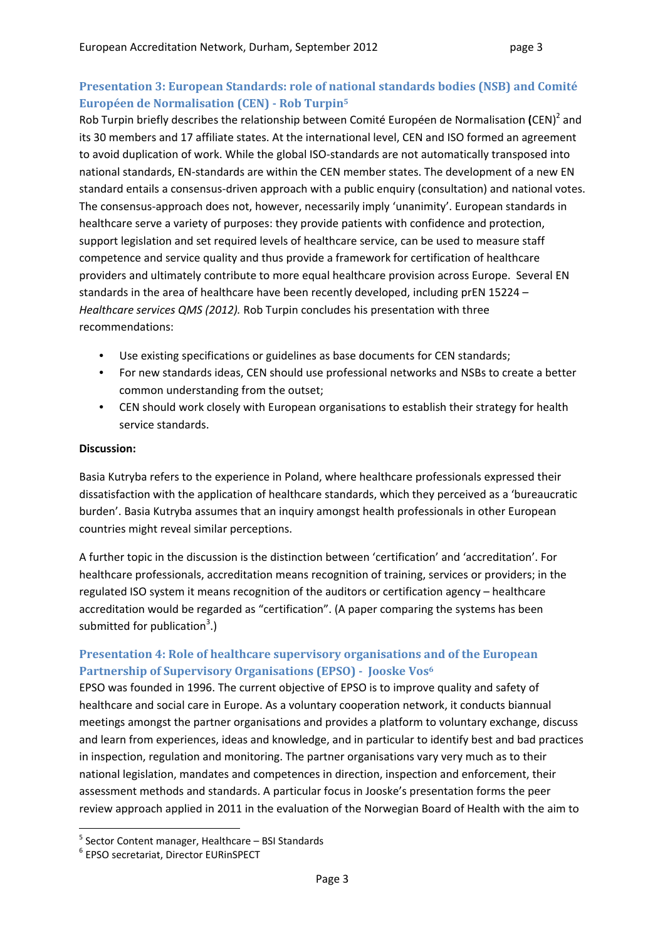## **Presentation 3: European Standards: role of national standards bodies (NSB) and Comité Européen de Normalisation (CEN) Rob Turpin5**

Rob Turpin briefly describes the relationship between Comité Européen de Normalisation **(**CEN)<sup>2</sup> and its 30 members and 17 affiliate states. At the international level, CEN and ISO formed an agreement to avoid duplication of work. While the global ISO‐standards are not automatically transposed into national standards, EN‐standards are within the CEN member states. The development of a new EN standard entails a consensus‐driven approach with a public enquiry (consultation) and national votes. The consensus‐approach does not, however, necessarily imply 'unanimity'. European standards in healthcare serve a variety of purposes: they provide patients with confidence and protection, support legislation and set required levels of healthcare service, can be used to measure staff competence and service quality and thus provide a framework for certification of healthcare providers and ultimately contribute to more equal healthcare provision across Europe. Several EN standards in the area of healthcare have been recently developed, including prEN 15224 *– Healthcare services QMS (2012).* Rob Turpin concludes his presentation with three recommendations:

- Use existing specifications or guidelines as base documents for CEN standards;
- For new standards ideas, CEN should use professional networks and NSBs to create a better common understanding from the outset;
- CEN should work closely with European organisations to establish their strategy for health service standards.

### **Discussion:**

Basia Kutryba refers to the experience in Poland, where healthcare professionals expressed their dissatisfaction with the application of healthcare standards, which they perceived as a 'bureaucratic burden'. Basia Kutryba assumes that an inquiry amongst health professionals in other European countries might reveal similar perceptions.

A further topic in the discussion is the distinction between 'certification' and 'accreditation'. For healthcare professionals, accreditation means recognition of training, services or providers; in the regulated ISO system it means recognition of the auditors or certification agency – healthcare accreditation would be regarded as "certification". (A paper comparing the systems has been submitted for publication<sup>3</sup>.)

## **Presentation 4: Role of healthcare supervisory organisations and of the European Partnership of Supervisory Organisations (EPSO) Jooske Vos6**

EPSO was founded in 1996. The current objective of EPSO is to improve quality and safety of healthcare and social care in Europe. As a voluntary cooperation network, it conducts biannual meetings amongst the partner organisations and provides a platform to voluntary exchange, discuss and learn from experiences, ideas and knowledge, and in particular to identify best and bad practices in inspection, regulation and monitoring. The partner organisations vary very much as to their national legislation, mandates and competences in direction, inspection and enforcement, their assessment methods and standards. A particular focus in Jooske's presentation forms the peer review approach applied in 2011 in the evaluation of the Norwegian Board of Health with the aim to

 $<sup>5</sup>$  Sector Content manager, Healthcare – BSI Standards  $<sup>6</sup>$  EPSO secretariat, Director EURinSPECT</sup></sup>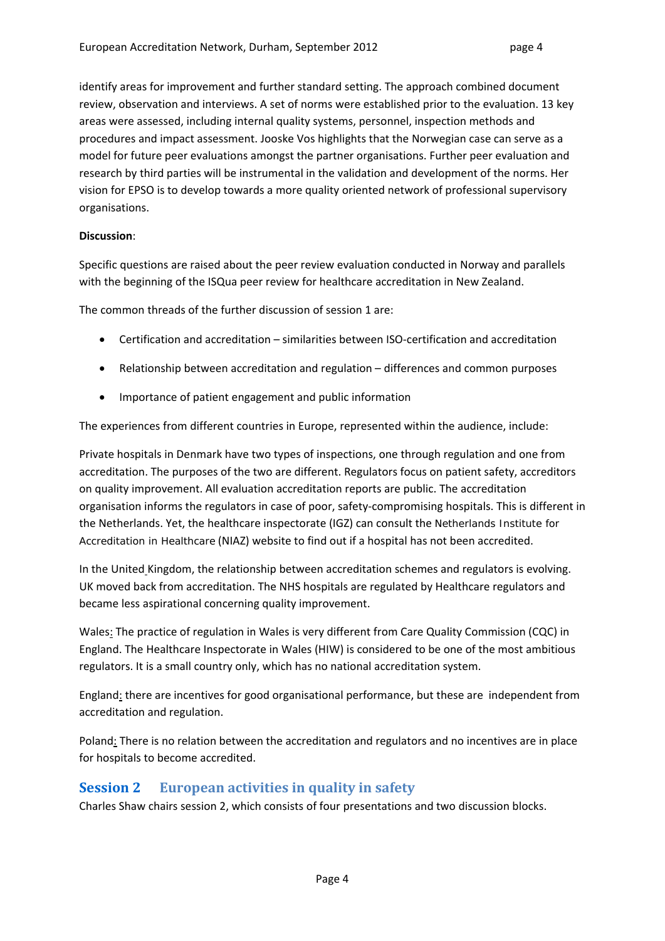identify areas for improvement and further standard setting. The approach combined document review, observation and interviews. A set of norms were established prior to the evaluation. 13 key areas were assessed, including internal quality systems, personnel, inspection methods and procedures and impact assessment. Jooske Vos highlights that the Norwegian case can serve as a model for future peer evaluations amongst the partner organisations. Further peer evaluation and research by third parties will be instrumental in the validation and development of the norms. Her vision for EPSO is to develop towards a more quality oriented network of professional supervisory organisations.

#### **Discussion**:

Specific questions are raised about the peer review evaluation conducted in Norway and parallels with the beginning of the ISQua peer review for healthcare accreditation in New Zealand.

The common threads of the further discussion of session 1 are:

- Certification and accreditation similarities between ISO-certification and accreditation
- Relationship between accreditation and regulation differences and common purposes
- Importance of patient engagement and public information

The experiences from different countries in Europe, represented within the audience, include:

Private hospitals in Denmark have two types of inspections, one through regulation and one from accreditation. The purposes of the two are different. Regulators focus on patient safety, accreditors on quality improvement. All evaluation accreditation reports are public. The accreditation organisation informs the regulators in case of poor, safety‐compromising hospitals. This is different in the Netherlands. Yet, the healthcare inspectorate (IGZ) can consult the Netherlands Institute for Accreditation in Healthcare (NIAZ) website to find out if a hospital has not been accredited.

In the United Kingdom, the relationship between accreditation schemes and regulators is evolving. UK moved back from accreditation. The NHS hospitals are regulated by Healthcare regulators and became less aspirational concerning quality improvement.

Wales: The practice of regulation in Wales is very different from Care Quality Commission (CQC) in England. The Healthcare Inspectorate in Wales (HIW) is considered to be one of the most ambitious regulators. It is a small country only, which has no national accreditation system.

England: there are incentives for good organisational performance, but these are independent from accreditation and regulation.

Poland: There is no relation between the accreditation and regulators and no incentives are in place for hospitals to become accredited.

## **Session 2 European activities in quality in safety**

Charles Shaw chairs session 2, which consists of four presentations and two discussion blocks.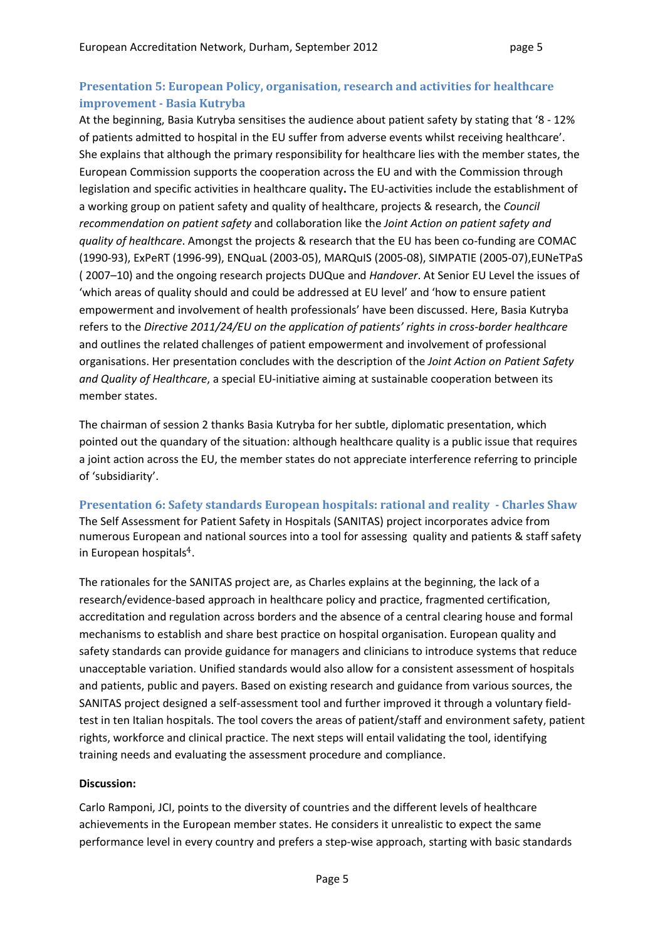## **Presentation 5: European Policy, organisation, research and activities for healthcare improvement Basia Kutryba**

At the beginning, Basia Kutryba sensitises the audience about patient safety by stating that '8 ‐ 12% of patients admitted to hospital in the EU suffer from adverse events whilst receiving healthcare'. She explains that although the primary responsibility for healthcare lies with the member states, the European Commission supports the cooperation across the EU and with the Commission through legislation and specific activities in healthcare quality**.** The EU‐activities include the establishment of a working group on patient safety and quality of healthcare, projects & research, the *Council recommendation on patient safety* and collaboration like the *Joint Action on patient safety and quality of healthcare*. Amongst the projects & research that the EU has been co‐funding are COMAC (1990‐93), ExPeRT (1996‐99), ENQuaL (2003‐05), MARQuIS (2005‐08), SIMPATIE (2005‐07),EUNeTPaS ( 2007–10) and the ongoing research projects DUQue and *Handover*. At Senior EU Level the issues of 'which areas of quality should and could be addressed at EU level' and 'how to ensure patient empowerment and involvement of health professionals' have been discussed. Here, Basia Kutryba refers to the *Directive 2011/24/EU on the application of patients' rights in cross‐border healthcare* and outlines the related challenges of patient empowerment and involvement of professional organisations. Her presentation concludes with the description of the *Joint Action on Patient Safety and Quality of Healthcare*, a special EU‐initiative aiming at sustainable cooperation between its member states.

The chairman of session 2 thanks Basia Kutryba for her subtle, diplomatic presentation, which pointed out the quandary of the situation: although healthcare quality is a public issue that requires a joint action across the EU, the member states do not appreciate interference referring to principle of 'subsidiarity'.

**Presentation 6: Safety standards European hospitals: rational and reality Charles Shaw** The Self Assessment for Patient Safety in Hospitals (SANITAS) project incorporates advice from numerous European and national sources into a tool for assessing quality and patients & staff safety in European hospitals4.

The rationales for the SANITAS project are, as Charles explains at the beginning, the lack of a research/evidence‐based approach in healthcare policy and practice, fragmented certification, accreditation and regulation across borders and the absence of a central clearing house and formal mechanisms to establish and share best practice on hospital organisation. European quality and safety standards can provide guidance for managers and clinicians to introduce systems that reduce unacceptable variation. Unified standards would also allow for a consistent assessment of hospitals and patients, public and payers. Based on existing research and guidance from various sources, the SANITAS project designed a self‐assessment tool and further improved it through a voluntary field‐ test in ten Italian hospitals. The tool covers the areas of patient/staff and environment safety, patient rights, workforce and clinical practice. The next steps will entail validating the tool, identifying training needs and evaluating the assessment procedure and compliance.

### **Discussion:**

Carlo Ramponi, JCI, points to the diversity of countries and the different levels of healthcare achievements in the European member states. He considers it unrealistic to expect the same performance level in every country and prefers a step-wise approach, starting with basic standards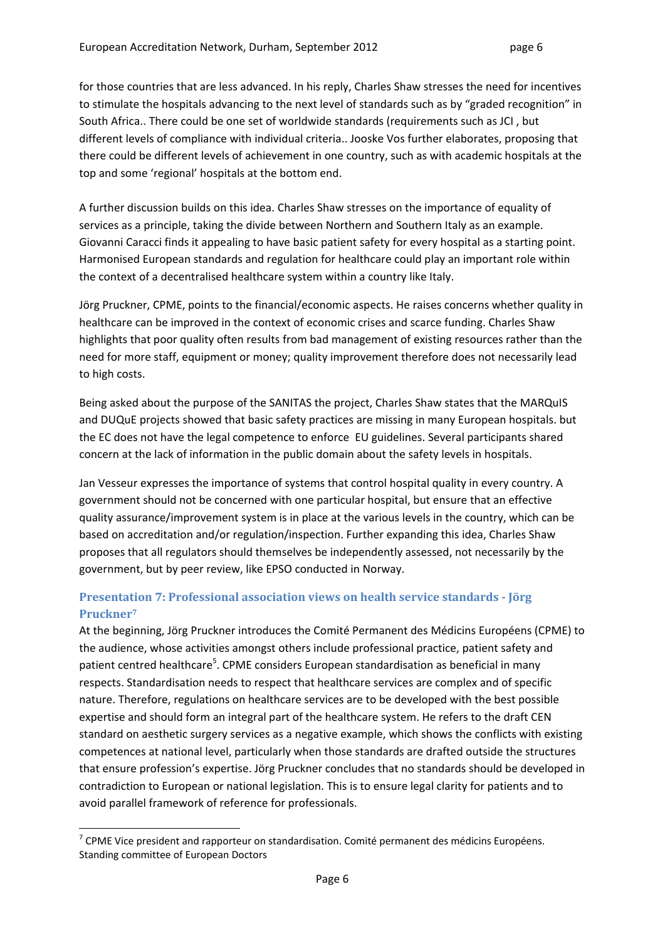for those countries that are less advanced. In his reply, Charles Shaw stresses the need for incentives to stimulate the hospitals advancing to the next level of standards such as by "graded recognition" in South Africa.. There could be one set of worldwide standards (requirements such as JCI , but different levels of compliance with individual criteria.. Jooske Vos further elaborates, proposing that there could be different levels of achievement in one country, such as with academic hospitals at the top and some 'regional' hospitals at the bottom end.

A further discussion builds on this idea. Charles Shaw stresses on the importance of equality of services as a principle, taking the divide between Northern and Southern Italy as an example. Giovanni Caracci finds it appealing to have basic patient safety for every hospital as a starting point. Harmonised European standards and regulation for healthcare could play an important role within the context of a decentralised healthcare system within a country like Italy.

Jörg Pruckner, CPME, points to the financial/economic aspects. He raises concerns whether quality in healthcare can be improved in the context of economic crises and scarce funding. Charles Shaw highlights that poor quality often results from bad management of existing resources rather than the need for more staff, equipment or money; quality improvement therefore does not necessarily lead to high costs.

Being asked about the purpose of the SANITAS the project, Charles Shaw states that the MARQuIS and DUQuE projects showed that basic safety practices are missing in many European hospitals. but the EC does not have the legal competence to enforce EU guidelines. Several participants shared concern at the lack of information in the public domain about the safety levels in hospitals.

Jan Vesseur expresses the importance of systems that control hospital quality in every country. A government should not be concerned with one particular hospital, but ensure that an effective quality assurance/improvement system is in place at the various levels in the country, which can be based on accreditation and/or regulation/inspection. Further expanding this idea, Charles Shaw proposes that all regulators should themselves be independently assessed, not necessarily by the government, but by peer review, like EPSO conducted in Norway.

## **Presentation 7: Professional association views on health service standards Jörg Pruckner7**

At the beginning, Jörg Pruckner introduces the Comité Permanent des Médicins Européens (CPME) to the audience, whose activities amongst others include professional practice, patient safety and patient centred healthcare<sup>5</sup>. CPME considers European standardisation as beneficial in many respects. Standardisation needs to respect that healthcare services are complex and of specific nature. Therefore, regulations on healthcare services are to be developed with the best possible expertise and should form an integral part of the healthcare system. He refers to the draft CEN standard on aesthetic surgery services as a negative example, which shows the conflicts with existing competences at national level, particularly when those standards are drafted outside the structures that ensure profession's expertise. Jörg Pruckner concludes that no standards should be developed in contradiction to European or national legislation. This is to ensure legal clarity for patients and to avoid parallel framework of reference for professionals.

  $7$  CPME Vice president and rapporteur on standardisation. Comité permanent des médicins Européens. Standing committee of European Doctors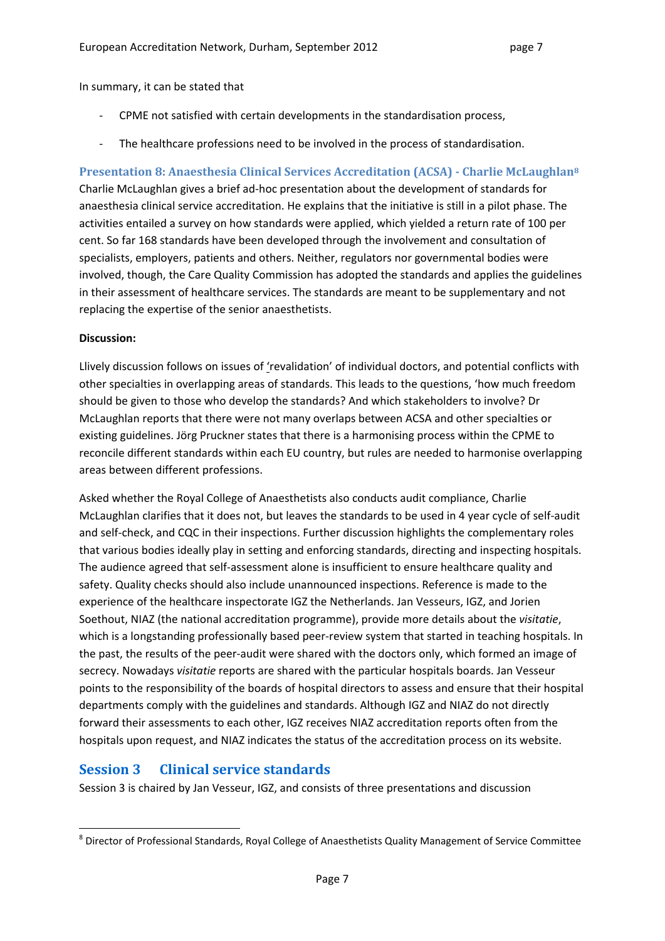In summary, it can be stated that

- ‐ CPME not satisfied with certain developments in the standardisation process,
- The healthcare professions need to be involved in the process of standardisation.

## **Presentation 8: Anaesthesia Clinical Services Accreditation (ACSA) Charlie McLaughlan8**

Charlie McLaughlan gives a brief ad‐hoc presentation about the development of standards for anaesthesia clinical service accreditation. He explains that the initiative is still in a pilot phase. The activities entailed a survey on how standards were applied, which yielded a return rate of 100 per cent. So far 168 standards have been developed through the involvement and consultation of specialists, employers, patients and others. Neither, regulators nor governmental bodies were involved, though, the Care Quality Commission has adopted the standards and applies the guidelines in their assessment of healthcare services. The standards are meant to be supplementary and not replacing the expertise of the senior anaesthetists.

#### **Discussion:**

Llively discussion follows on issues of 'revalidation' of individual doctors, and potential conflicts with other specialties in overlapping areas of standards. This leads to the questions, 'how much freedom should be given to those who develop the standards? And which stakeholders to involve? Dr McLaughlan reports that there were not many overlaps between ACSA and other specialties or existing guidelines. Jörg Pruckner states that there is a harmonising process within the CPME to reconcile different standards within each EU country, but rules are needed to harmonise overlapping areas between different professions.

Asked whether the Royal College of Anaesthetists also conducts audit compliance, Charlie McLaughlan clarifies that it does not, but leaves the standards to be used in 4 year cycle of self‐audit and self‐check, and CQC in their inspections. Further discussion highlights the complementary roles that various bodies ideally play in setting and enforcing standards, directing and inspecting hospitals. The audience agreed that self‐assessment alone is insufficient to ensure healthcare quality and safety. Quality checks should also include unannounced inspections. Reference is made to the experience of the healthcare inspectorate IGZ the Netherlands. Jan Vesseurs, IGZ, and Jorien Soethout, NIAZ (the national accreditation programme), provide more details about the *visitatie*, which is a longstanding professionally based peer-review system that started in teaching hospitals. In the past, the results of the peer‐audit were shared with the doctors only, which formed an image of secrecy. Nowadays *visitatie* reports are shared with the particular hospitals boards. Jan Vesseur points to the responsibility of the boards of hospital directors to assess and ensure that their hospital departments comply with the guidelines and standards. Although IGZ and NIAZ do not directly forward their assessments to each other, IGZ receives NIAZ accreditation reports often from the hospitals upon request, and NIAZ indicates the status of the accreditation process on its website.

### **Session 3 Clinical service standards**

Session 3 is chaired by Jan Vesseur, IGZ, and consists of three presentations and discussion

  $8$  Director of Professional Standards, Royal College of Anaesthetists Quality Management of Service Committee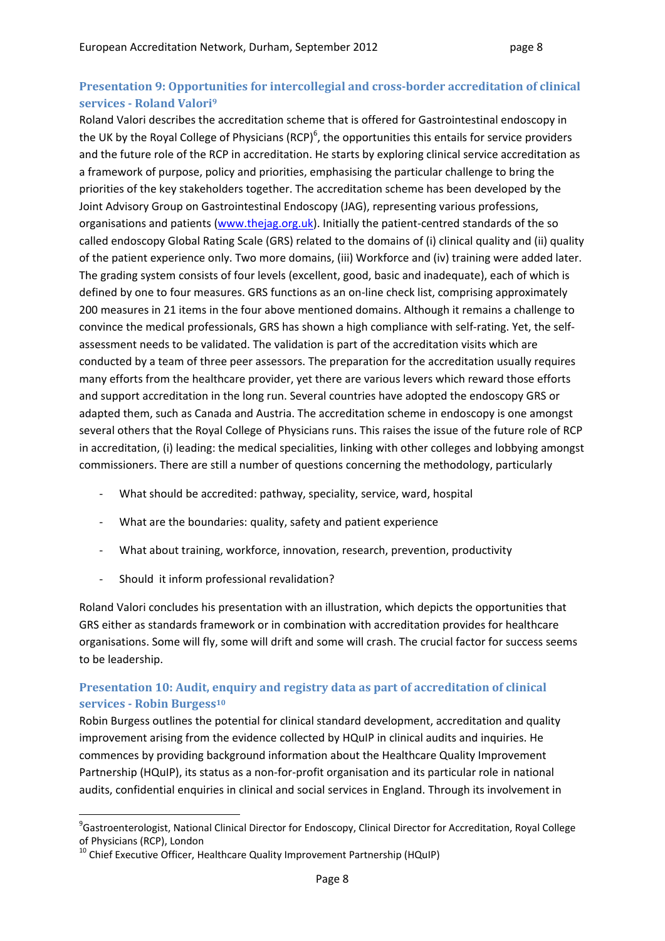## **Presentation 9: Opportunities for intercollegial and crossborder accreditation of clinical services Roland Valori9**

Roland Valori describes the accreditation scheme that is offered for Gastrointestinal endoscopy in the UK by the Royal College of Physicians (RCP)<sup>6</sup>, the opportunities this entails for service providers and the future role of the RCP in accreditation. He starts by exploring clinical service accreditation as a framework of purpose, policy and priorities, emphasising the particular challenge to bring the priorities of the key stakeholders together. The accreditation scheme has been developed by the Joint Advisory Group on Gastrointestinal Endoscopy (JAG), representing various professions, organisations and patients (www.thejag.org.uk). Initially the patient‐centred standards of the so called endoscopy Global Rating Scale (GRS) related to the domains of (i) clinical quality and (ii) quality of the patient experience only. Two more domains, (iii) Workforce and (iv) training were added later. The grading system consists of four levels (excellent, good, basic and inadequate), each of which is defined by one to four measures. GRS functions as an on-line check list, comprising approximately 200 measures in 21 items in the four above mentioned domains. Although it remains a challenge to convince the medical professionals, GRS has shown a high compliance with self‐rating. Yet, the self‐ assessment needs to be validated. The validation is part of the accreditation visits which are conducted by a team of three peer assessors. The preparation for the accreditation usually requires many efforts from the healthcare provider, yet there are various levers which reward those efforts and support accreditation in the long run. Several countries have adopted the endoscopy GRS or adapted them, such as Canada and Austria. The accreditation scheme in endoscopy is one amongst several others that the Royal College of Physicians runs. This raises the issue of the future role of RCP in accreditation, (i) leading: the medical specialities, linking with other colleges and lobbying amongst commissioners. There are still a number of questions concerning the methodology, particularly

- What should be accredited: pathway, speciality, service, ward, hospital
- ‐ What are the boundaries: quality, safety and patient experience
- ‐ What about training, workforce, innovation, research, prevention, productivity
- ‐ Should it inform professional revalidation?

Roland Valori concludes his presentation with an illustration, which depicts the opportunities that GRS either as standards framework or in combination with accreditation provides for healthcare organisations. Some will fly, some will drift and some will crash. The crucial factor for success seems to be leadership.

## **Presentation 10: Audit, enquiry and registry data as part of accreditation of clinical services Robin Burgess10**

Robin Burgess outlines the potential for clinical standard development, accreditation and quality improvement arising from the evidence collected by HQuIP in clinical audits and inquiries. He commences by providing background information about the Healthcare Quality Improvement Partnership (HQuIP), its status as a non-for-profit organisation and its particular role in national audits, confidential enquiries in clinical and social services in England. Through its involvement in

<sup>9</sup> Gastroenterologist, National Clinical Director for Endoscopy, Clinical Director for Accreditation, Royal College of Physicians (RCP), London<br><sup>10</sup> Chief Executive Officer, Healthcare Quality Improvement Partnership (HQuIP)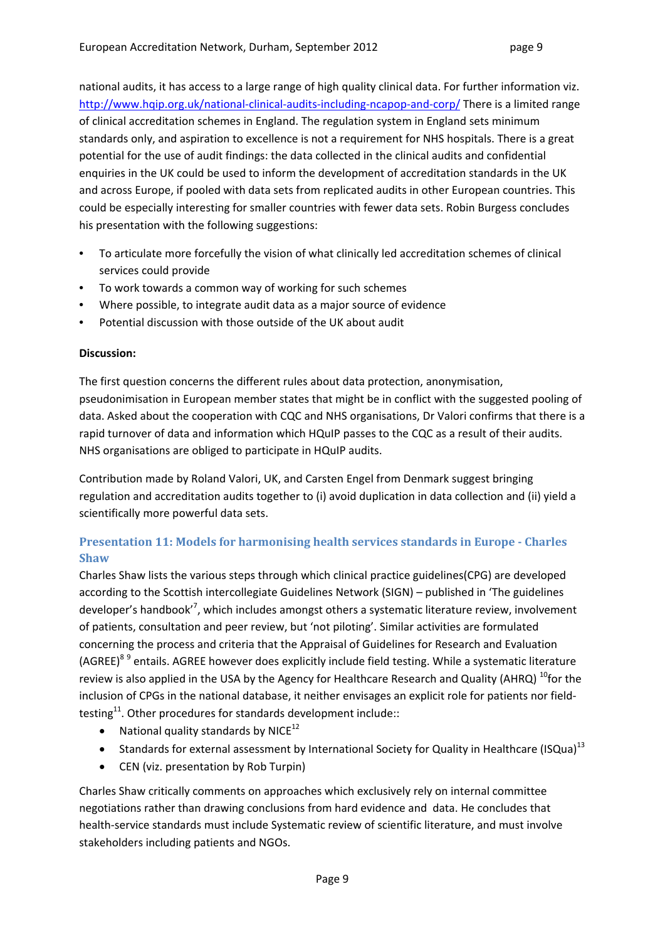national audits, it has access to a large range of high quality clinical data. For further information viz. http://www.hqip.org.uk/national-clinical-audits-including-ncapop-and-corp/ There is a limited range of clinical accreditation schemes in England. The regulation system in England sets minimum standards only, and aspiration to excellence is not a requirement for NHS hospitals. There is a great potential for the use of audit findings: the data collected in the clinical audits and confidential enquiries in the UK could be used to inform the development of accreditation standards in the UK and across Europe, if pooled with data sets from replicated audits in other European countries. This could be especially interesting for smaller countries with fewer data sets. Robin Burgess concludes his presentation with the following suggestions:

- To articulate more forcefully the vision of what clinically led accreditation schemes of clinical services could provide
- To work towards a common way of working for such schemes
- Where possible, to integrate audit data as a major source of evidence
- Potential discussion with those outside of the UK about audit

### **Discussion:**

The first question concerns the different rules about data protection, anonymisation, pseudonimisation in European member states that might be in conflict with the suggested pooling of data. Asked about the cooperation with CQC and NHS organisations, Dr Valori confirms that there is a rapid turnover of data and information which HQuIP passes to the CQC as a result of their audits. NHS organisations are obliged to participate in HQuIP audits.

Contribution made by Roland Valori, UK, and Carsten Engel from Denmark suggest bringing regulation and accreditation audits together to (i) avoid duplication in data collection and (ii) yield a scientifically more powerful data sets.

## **Presentation 11: Models for harmonising health services standards in Europe Charles Shaw**

Charles Shaw lists the various steps through which clinical practice guidelines(CPG) are developed according to the Scottish intercollegiate Guidelines Network (SIGN) – published in 'The guidelines developer's handbook'<sup>7</sup>, which includes amongst others a systematic literature review, involvement of patients, consultation and peer review, but 'not piloting'. Similar activities are formulated concerning the process and criteria that the Appraisal of Guidelines for Research and Evaluation (AGREE)<sup>8 9</sup> entails. AGREE however does explicitly include field testing. While a systematic literature review is also applied in the USA by the Agency for Healthcare Research and Quality (AHRQ)  $^{10}$  for the inclusion of CPGs in the national database, it neither envisages an explicit role for patients nor fieldtesting<sup>11</sup>. Other procedures for standards development include::

- National quality standards by NICE $^{12}$
- **Standards for external assessment by International Society for Quality in Healthcare (ISQua)**<sup>13</sup>
- CEN (viz. presentation by Rob Turpin)

Charles Shaw critically comments on approaches which exclusively rely on internal committee negotiations rather than drawing conclusions from hard evidence and data. He concludes that health-service standards must include Systematic review of scientific literature, and must involve stakeholders including patients and NGOs.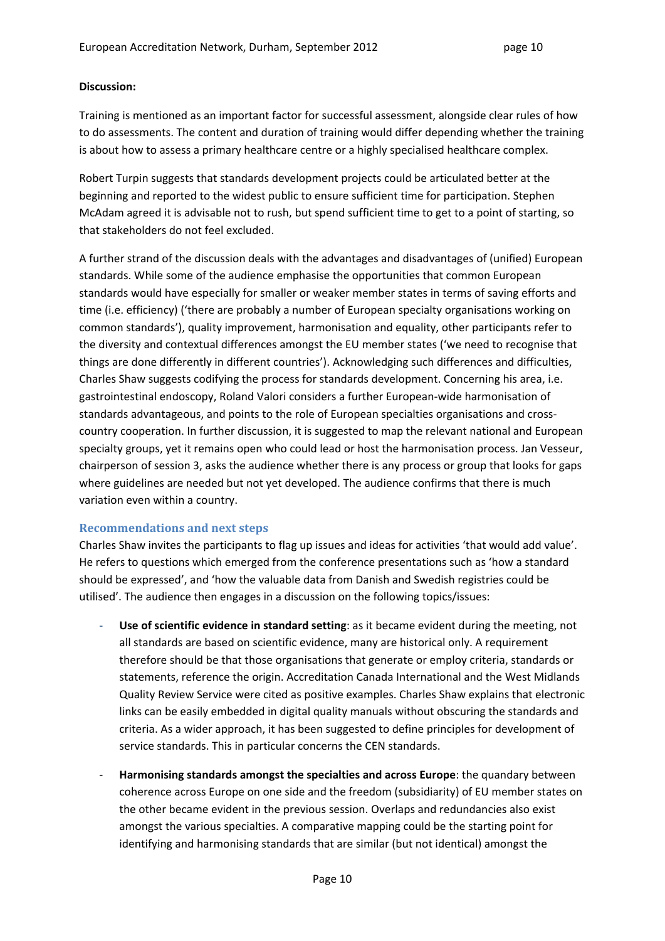### **Discussion:**

Training is mentioned as an important factor for successful assessment, alongside clear rules of how to do assessments. The content and duration of training would differ depending whether the training is about how to assess a primary healthcare centre or a highly specialised healthcare complex.

Robert Turpin suggests that standards development projects could be articulated better at the beginning and reported to the widest public to ensure sufficient time for participation. Stephen McAdam agreed it is advisable not to rush, but spend sufficient time to get to a point of starting, so that stakeholders do not feel excluded.

A further strand of the discussion deals with the advantages and disadvantages of (unified) European standards. While some of the audience emphasise the opportunities that common European standards would have especially for smaller or weaker member states in terms of saving efforts and time (i.e. efficiency) ('there are probably a number of European specialty organisations working on common standards'), quality improvement, harmonisation and equality, other participants refer to the diversity and contextual differences amongst the EU member states ('we need to recognise that things are done differently in different countries'). Acknowledging such differences and difficulties, Charles Shaw suggests codifying the process for standards development. Concerning his area, i.e. gastrointestinal endoscopy, Roland Valori considers a further European‐wide harmonisation of standards advantageous, and points to the role of European specialties organisations and cross‐ country cooperation. In further discussion, it is suggested to map the relevant national and European specialty groups, yet it remains open who could lead or host the harmonisation process. Jan Vesseur, chairperson of session 3, asks the audience whether there is any process or group that looks for gaps where guidelines are needed but not yet developed. The audience confirms that there is much variation even within a country.

### **Recommendations and next steps**

Charles Shaw invites the participants to flag up issues and ideas for activities 'that would add value'. He refers to questions which emerged from the conference presentations such as 'how a standard should be expressed', and 'how the valuable data from Danish and Swedish registries could be utilised'. The audience then engages in a discussion on the following topics/issues:

- ‐ **Use of scientific evidence in standard setting**: as it became evident during the meeting, not all standards are based on scientific evidence, many are historical only. A requirement therefore should be that those organisations that generate or employ criteria, standards or statements, reference the origin. Accreditation Canada International and the West Midlands Quality Review Service were cited as positive examples. Charles Shaw explains that electronic links can be easily embedded in digital quality manuals without obscuring the standards and criteria. As a wider approach, it has been suggested to define principles for development of service standards. This in particular concerns the CEN standards.
- ‐ **Harmonising standards amongst the specialties and across Europe**: the quandary between coherence across Europe on one side and the freedom (subsidiarity) of EU member states on the other became evident in the previous session. Overlaps and redundancies also exist amongst the various specialties. A comparative mapping could be the starting point for identifying and harmonising standards that are similar (but not identical) amongst the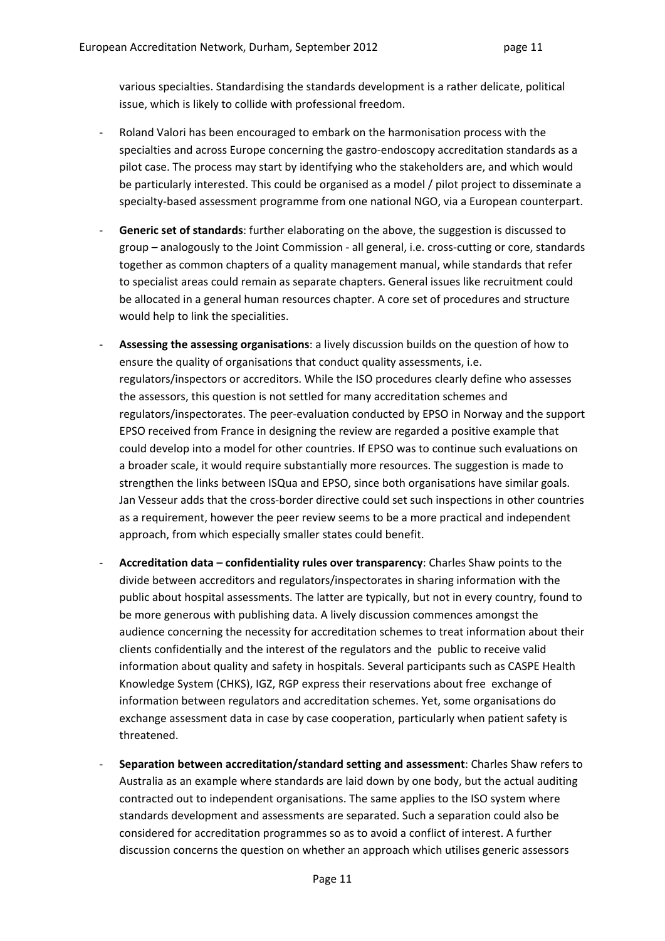various specialties. Standardising the standards development is a rather delicate, political issue, which is likely to collide with professional freedom.

- ‐ Roland Valori has been encouraged to embark on the harmonisation process with the specialties and across Europe concerning the gastro‐endoscopy accreditation standards as a pilot case. The process may start by identifying who the stakeholders are, and which would be particularly interested. This could be organised as a model / pilot project to disseminate a specialty-based assessment programme from one national NGO, via a European counterpart.
- ‐ **Generic set of standards**: further elaborating on the above, the suggestion is discussed to group – analogously to the Joint Commission ‐ all general, i.e. cross‐cutting or core, standards together as common chapters of a quality management manual, while standards that refer to specialist areas could remain as separate chapters. General issues like recruitment could be allocated in a general human resources chapter. A core set of procedures and structure would help to link the specialities.
- ‐ **Assessing the assessing organisations**: a lively discussion builds on the question of how to ensure the quality of organisations that conduct quality assessments, i.e. regulators/inspectors or accreditors. While the ISO procedures clearly define who assesses the assessors, this question is not settled for many accreditation schemes and regulators/inspectorates. The peer‐evaluation conducted by EPSO in Norway and the support EPSO received from France in designing the review are regarded a positive example that could develop into a model for other countries. If EPSO was to continue such evaluations on a broader scale, it would require substantially more resources. The suggestion is made to strengthen the links between ISQua and EPSO, since both organisations have similar goals. Jan Vesseur adds that the cross‐border directive could set such inspections in other countries as a requirement, however the peer review seems to be a more practical and independent approach, from which especially smaller states could benefit.
- ‐ **Accreditation data – confidentiality rules over transparency**: Charles Shaw points to the divide between accreditors and regulators/inspectorates in sharing information with the public about hospital assessments. The latter are typically, but not in every country, found to be more generous with publishing data. A lively discussion commences amongst the audience concerning the necessity for accreditation schemes to treat information about their clients confidentially and the interest of the regulators and the public to receive valid information about quality and safety in hospitals. Several participants such as CASPE Health Knowledge System (CHKS), IGZ, RGP express their reservations about free exchange of information between regulators and accreditation schemes. Yet, some organisations do exchange assessment data in case by case cooperation, particularly when patient safety is threatened.
- ‐ **Separation between accreditation/standard setting and assessment**: Charles Shaw refers to Australia as an example where standards are laid down by one body, but the actual auditing contracted out to independent organisations. The same applies to the ISO system where standards development and assessments are separated. Such a separation could also be considered for accreditation programmes so as to avoid a conflict of interest. A further discussion concerns the question on whether an approach which utilises generic assessors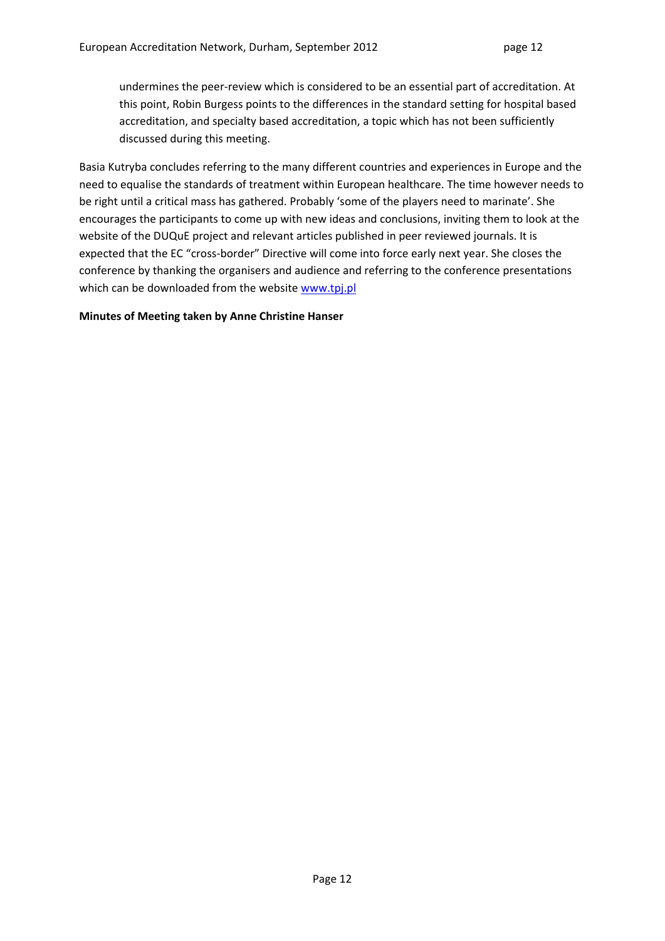undermines the peer‐review which is considered to be an essential part of accreditation. At this point, Robin Burgess points to the differences in the standard setting for hospital based accreditation, and specialty based accreditation, a topic which has not been sufficiently discussed during this meeting.

Basia Kutryba concludes referring to the many different countries and experiences in Europe and the need to equalise the standards of treatment within European healthcare. The time however needs to be right until a critical mass has gathered. Probably 'some of the players need to marinate'. She encourages the participants to come up with new ideas and conclusions, inviting them to look at the website of the DUQuE project and relevant articles published in peer reviewed journals. It is expected that the EC "cross‐border" Directive will come into force early next year. She closes the conference by thanking the organisers and audience and referring to the conference presentations which can be downloaded from the website www.tpj.pl

#### **Minutes of Meeting taken by Anne Christine Hanser**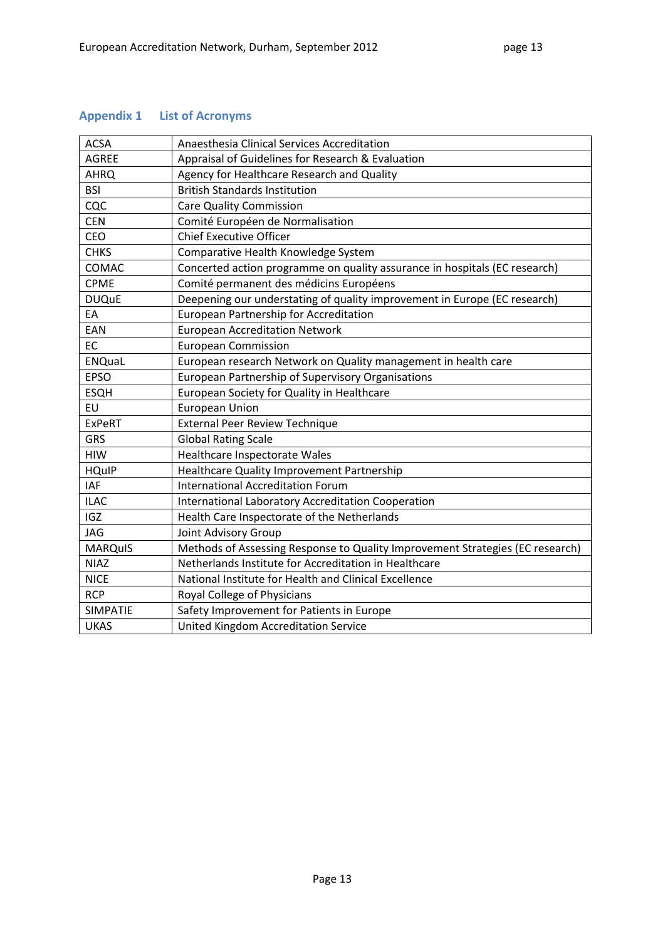# **Appendix 1 List of Acronyms**

| <b>ACSA</b>     | Anaesthesia Clinical Services Accreditation                                   |  |  |  |
|-----------------|-------------------------------------------------------------------------------|--|--|--|
| <b>AGREE</b>    | Appraisal of Guidelines for Research & Evaluation                             |  |  |  |
| <b>AHRQ</b>     | Agency for Healthcare Research and Quality                                    |  |  |  |
| <b>BSI</b>      | <b>British Standards Institution</b>                                          |  |  |  |
| CQC             | <b>Care Quality Commission</b>                                                |  |  |  |
| <b>CEN</b>      | Comité Européen de Normalisation                                              |  |  |  |
| CEO             | <b>Chief Executive Officer</b>                                                |  |  |  |
| <b>CHKS</b>     | Comparative Health Knowledge System                                           |  |  |  |
| COMAC           | Concerted action programme on quality assurance in hospitals (EC research)    |  |  |  |
| <b>CPME</b>     | Comité permanent des médicins Européens                                       |  |  |  |
| <b>DUQuE</b>    | Deepening our understating of quality improvement in Europe (EC research)     |  |  |  |
| EA              | European Partnership for Accreditation                                        |  |  |  |
| EAN             | <b>European Accreditation Network</b>                                         |  |  |  |
| EC              | <b>European Commission</b>                                                    |  |  |  |
| <b>ENQuaL</b>   | European research Network on Quality management in health care                |  |  |  |
| <b>EPSO</b>     | European Partnership of Supervisory Organisations                             |  |  |  |
| <b>ESQH</b>     | European Society for Quality in Healthcare                                    |  |  |  |
| EU              | <b>European Union</b>                                                         |  |  |  |
| <b>ExPeRT</b>   | <b>External Peer Review Technique</b>                                         |  |  |  |
| <b>GRS</b>      | <b>Global Rating Scale</b>                                                    |  |  |  |
| <b>HIW</b>      | Healthcare Inspectorate Wales                                                 |  |  |  |
| <b>HQuIP</b>    | Healthcare Quality Improvement Partnership                                    |  |  |  |
| <b>IAF</b>      | <b>International Accreditation Forum</b>                                      |  |  |  |
| <b>ILAC</b>     | International Laboratory Accreditation Cooperation                            |  |  |  |
| <b>IGZ</b>      | Health Care Inspectorate of the Netherlands                                   |  |  |  |
| <b>JAG</b>      | Joint Advisory Group                                                          |  |  |  |
| <b>MARQuIS</b>  | Methods of Assessing Response to Quality Improvement Strategies (EC research) |  |  |  |
| <b>NIAZ</b>     | Netherlands Institute for Accreditation in Healthcare                         |  |  |  |
| <b>NICE</b>     | National Institute for Health and Clinical Excellence                         |  |  |  |
| <b>RCP</b>      | Royal College of Physicians                                                   |  |  |  |
| <b>SIMPATIE</b> | Safety Improvement for Patients in Europe                                     |  |  |  |
| <b>UKAS</b>     | United Kingdom Accreditation Service                                          |  |  |  |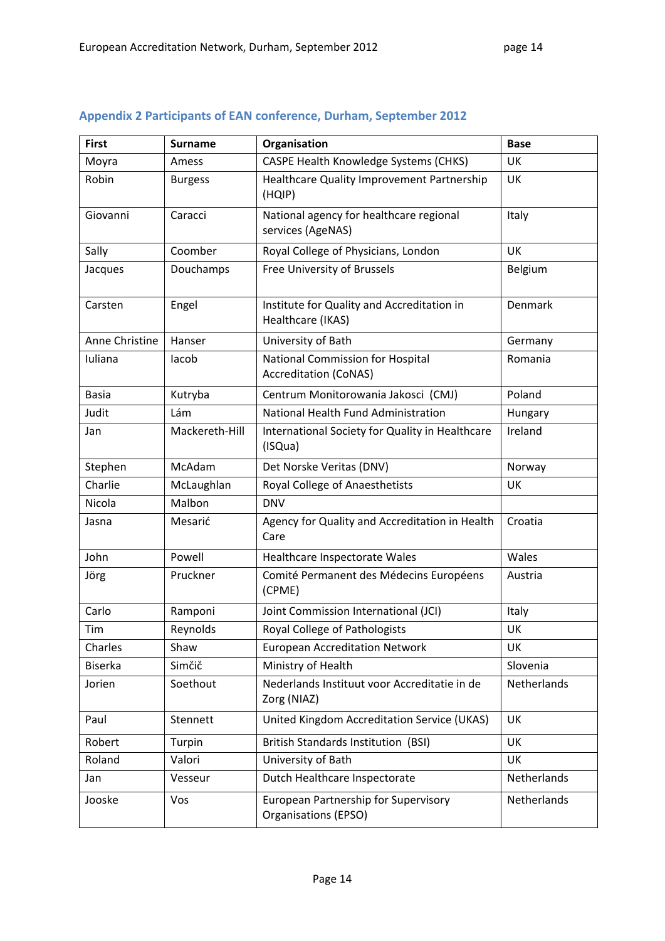| <b>First</b>   | <b>Surname</b> | Organisation                                                            | <b>Base</b> |
|----------------|----------------|-------------------------------------------------------------------------|-------------|
| Moyra          | Amess          | <b>CASPE Health Knowledge Systems (CHKS)</b>                            | UK          |
| Robin          | <b>Burgess</b> | Healthcare Quality Improvement Partnership<br>(HQIP)                    | UK          |
| Giovanni       | Caracci        | National agency for healthcare regional<br>services (AgeNAS)            | Italy       |
| Sally          | Coomber        | Royal College of Physicians, London                                     | <b>UK</b>   |
| Jacques        | Douchamps      | Free University of Brussels                                             | Belgium     |
| Carsten        | Engel          | Institute for Quality and Accreditation in<br>Healthcare (IKAS)         | Denmark     |
| Anne Christine | Hanser         | University of Bath                                                      | Germany     |
| Iuliana        | lacob          | <b>National Commission for Hospital</b><br><b>Accreditation (CoNAS)</b> | Romania     |
| <b>Basia</b>   | Kutryba        | Centrum Monitorowania Jakosci (CMJ)                                     | Poland      |
| Judit          | Lám            | National Health Fund Administration                                     | Hungary     |
| Jan            | Mackereth-Hill | International Society for Quality in Healthcare<br>(ISQua)              | Ireland     |
| Stephen        | McAdam         | Det Norske Veritas (DNV)                                                | Norway      |
| Charlie        | McLaughlan     | Royal College of Anaesthetists                                          | UK          |
| Nicola         | Malbon         | <b>DNV</b>                                                              |             |
| Jasna          | Mesarić        | Agency for Quality and Accreditation in Health<br>Care                  | Croatia     |
| John           | Powell         | Healthcare Inspectorate Wales                                           | Wales       |
| Jörg           | Pruckner       | Comité Permanent des Médecins Européens<br>(CPME)                       | Austria     |
| Carlo          | Ramponi        | Joint Commission International (JCI)                                    | Italy       |
| Tim            | Reynolds       | Royal College of Pathologists                                           | UK          |
| Charles        | Shaw           | <b>European Accreditation Network</b>                                   | UK          |
| <b>Biserka</b> | Simčič         | Ministry of Health                                                      | Slovenia    |
| Jorien         | Soethout       | Nederlands Instituut voor Accreditatie in de<br>Zorg (NIAZ)             | Netherlands |
| Paul           | Stennett       | United Kingdom Accreditation Service (UKAS)                             | UK          |
| Robert         | Turpin         | <b>British Standards Institution (BSI)</b>                              | UK          |
| Roland         | Valori         | University of Bath                                                      | UK          |
| Jan            | Vesseur        | Dutch Healthcare Inspectorate                                           | Netherlands |
| Jooske         | Vos            | European Partnership for Supervisory<br>Organisations (EPSO)            | Netherlands |

## **Appendix 2 Participants of EAN conference, Durham, September 2012**